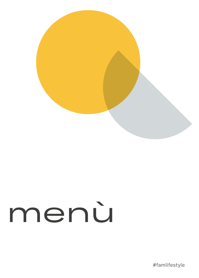

## menù

#famlifestyle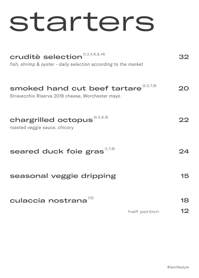### starters

| cruditè selection <sup>(1,2,4,6,8,14)</sup><br>fish, shrimp & oyster - daily selection according to the market |              |     |
|----------------------------------------------------------------------------------------------------------------|--------------|-----|
| smoked hand cut beef tartare (3,5,7,8)<br>Stravecchio Riserva 2018 cheese, Worchester mayo                     |              | ンい  |
| chargrilled octopus (4,5,8,9)<br>roasted veggie sauce, chicory                                                 |              |     |
| seared duck foie gras $^{(1,7,8)}$                                                                             |              |     |
| seasonal veggie dripping                                                                                       |              | 15. |
| culaccia nostrana <sup>(12)</sup>                                                                              |              | 18  |
|                                                                                                                | half portion |     |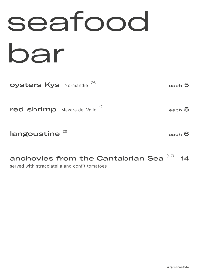### seafood bar

| Oysters Kys Normandie <sup>(14)</sup>      |  | each $\bar{5}$ |
|--------------------------------------------|--|----------------|
| red shrimp Mazara del Vallo <sup>(2)</sup> |  | each $5$       |

### $l$ angoustine  $(2)$

each 6

#### 14 anchovies from the Cantabrian Sea  $(4,7)$

served with stracciatella and confit tomatoes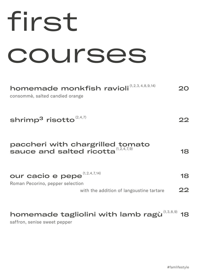| tirst                                                                                    |
|------------------------------------------------------------------------------------------|
| courses                                                                                  |
| homemade monkfish ravioli <sup>(1,2,3,4,8,9,14)</sup><br>consommè, salted candied orange |
| shrimp $3$ risotto $^{(2,4,7)}$                                                          |
| paccheri with chargrilled tomato<br>sauce and salted ricotta $(1, 2, 4, 7, 9)$           |

| our cacio e pepe $\overset{_{(1,2,4,7,14)}}{ }$ | 18 |
|-------------------------------------------------|----|
| Roman Pecorino, pepper selection                |    |
| with the addition of langoustine tartare        | 22 |

### homemade tagliolini with lamb ragù $^{\scriptscriptstyle{(1,3,8,9)}}$  18

saffron, senise sweet pepper

20

22

18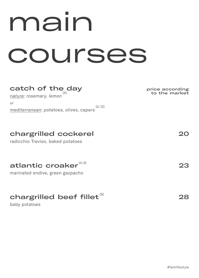### main courses

#### catch of the day *nature: rosemary, lemon* (4)

*or mediterranean: potatoes, olives, capers* (4, 12)

#### chargrilled cockerel

radicchio Treviso, baked potatoes

marinated endive, green gazpacho

### chargrilled beef fillet $^{\scriptscriptstyle{(9)}}$

baby potatoes

20

23

28

price according to the market

#famlifestyle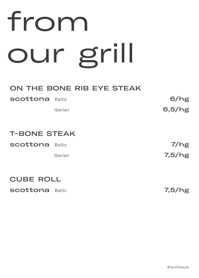# from our grill

#### ON THE BONE RIB EYE STEAK

| <b>Scottona</b> Baltic |                | 6/hg   |
|------------------------|----------------|--------|
|                        | <b>Iberian</b> | 6,5/hg |

#### T-BONE STEAK

| <b>Scottona</b> Baltic |                | 7/hg   |
|------------------------|----------------|--------|
|                        | <i>Iberian</i> | 7,5/hg |

#### CUBE ROLL

**scottona** Baltic

7,5/hg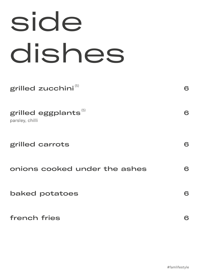## side dishes

grilled zucchini<sup>(5)</sup>

grilled eggplants $^{\scriptscriptstyle{(5)}}$ 

parsley, chilli

grilled carrots

onions cooked under the ashes

baked potatoes

french fries

6

6

6

6

6

6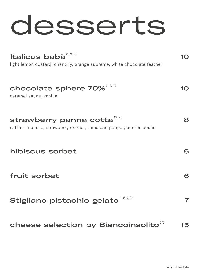### desserts

| Italicus babà <sup>(1,3,7)</sup><br>light lemon custard, chantilly, orange supreme, white chocolate feather | IO. |
|-------------------------------------------------------------------------------------------------------------|-----|
| chocolate sphere 70% <sup>(1,3,7)</sup><br>caramel sauce, vanilla                                           |     |
| (3,7)<br>strawberry panna cotta<br>saffron mousse, strawberry extract, Jamaican pepper, berries coulis      | 8   |
| hibiscus sorbet                                                                                             | 6   |
| fruit sorbet                                                                                                | 6   |
| Stigliano pistachio gelato (1,5,7,8)                                                                        | 7   |
| cheese selection by Biancoinsolito                                                                          | 15  |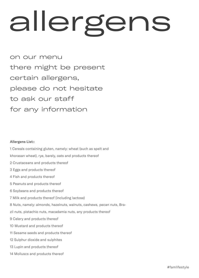# allergens

on our menu there might be present certain allergens, please do not hesitate to ask our staff for any information

#### Allergens List::

1 Cereals containing gluten, namely: wheat (such as spelt and khorasan wheat), rye, barely, oats and products thereof 2 Crustaceans and products thereof 3 Eggs and products thereof 4 Fish and products thereof 5 Peanuts and products thereof 6 Soybeans and products thereof 7 Milk and products thereof (including lactose) 8 Nuts, namely: almonds, hazelnuts, walnuts, cashews, pecan nuts, Brazil nuts, pistachio nuts, macadamia nuts, any products thereof 9 Celery and products thereof 10 Mustard and products thereof 11 Sesame seeds and products thereof 12 Sulphur dioxide and sulphites 13 Lupin and products thereof 14 Molluscs and products thereof